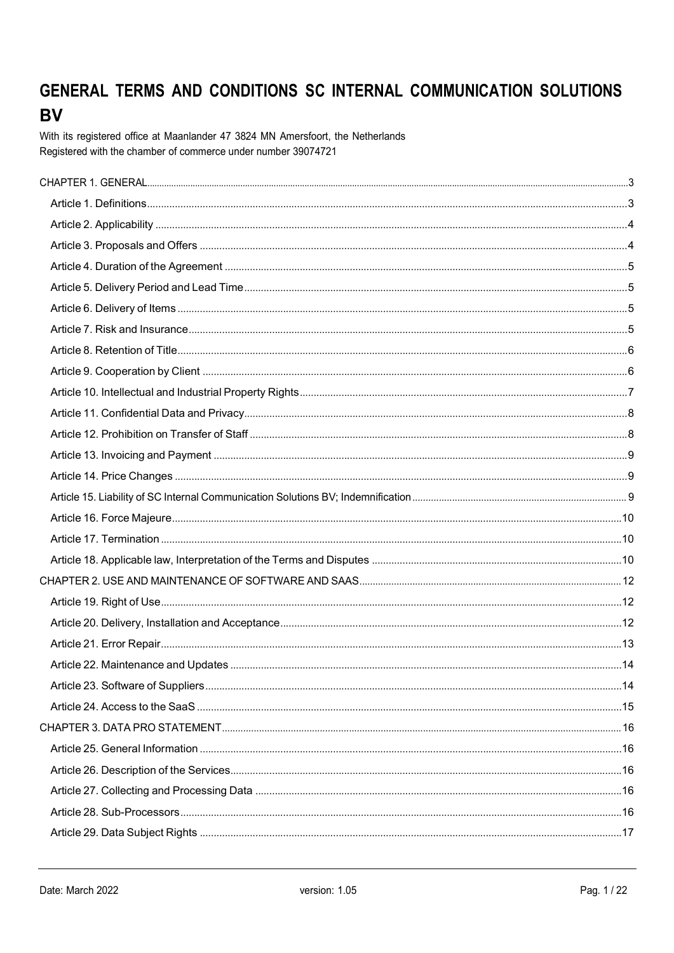# GENERAL TERMS AND CONDITIONS SC INTERNAL COMMUNICATION SOLUTIONS **BV**

With its registered office at Maanlander 47 3824 MN Amersfoort, the Netherlands Registered with the chamber of commerce under number 39074721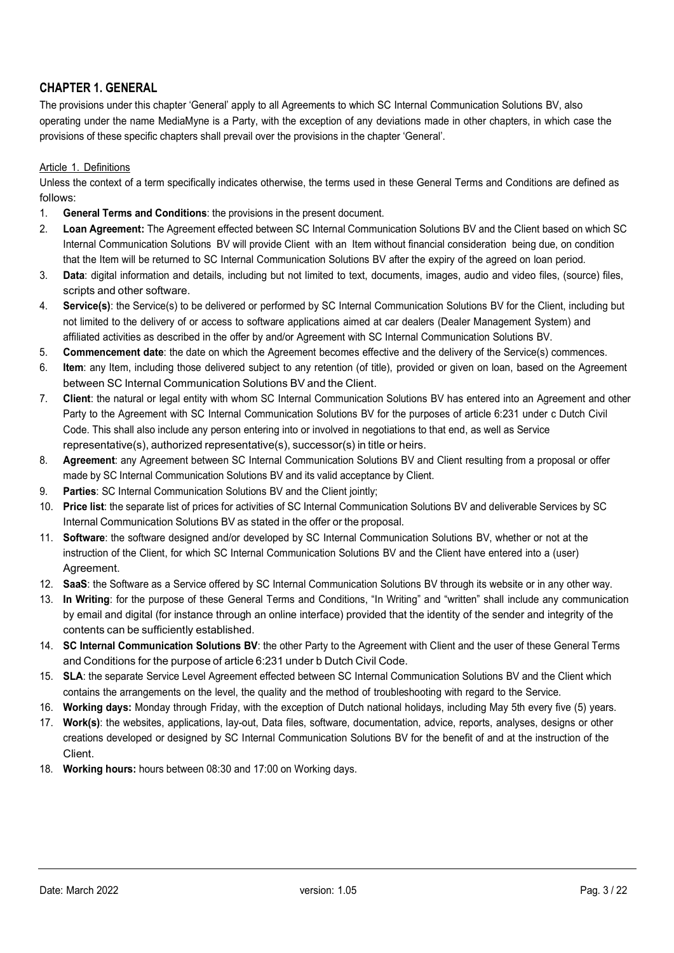# CHAPTER 1. GENERAL

The provisions under this chapter 'General' apply to all Agreements to which SC Internal Communication Solutions BV, also operating under the name MediaMyne is a Party, with the exception of any deviations made in other chapters, in which case the provisions of these specific chapters shall prevail over the provisions in the chapter 'General'.

#### Article 1. Definitions

Unless the context of a term specifically indicates otherwise, the terms used in these General Terms and Conditions are defined as follows:

- 1. General Terms and Conditions: the provisions in the present document.
- 2. Loan Agreement: The Agreement effected between SC Internal Communication Solutions BV and the Client based on which SC Internal Communication Solutions BV will provide Client with an Item without financial consideration being due, on condition that the Item will be returned to SC Internal Communication Solutions BV after the expiry of the agreed on loan period.
- 3. Data: digital information and details, including but not limited to text, documents, images, audio and video files, (source) files, scripts and other software.
- 4. Service(s): the Service(s) to be delivered or performed by SC Internal Communication Solutions BV for the Client, including but not limited to the delivery of or access to software applications aimed at car dealers (Dealer Management System) and affiliated activities as described in the offer by and/or Agreement with SC Internal Communication Solutions BV.
- 5. Commencement date: the date on which the Agreement becomes effective and the delivery of the Service(s) commences.
- 6. Item: any Item, including those delivered subject to any retention (of title), provided or given on loan, based on the Agreement between SC Internal Communication Solutions BV and the Client.
- 7. Client: the natural or legal entity with whom SC Internal Communication Solutions BV has entered into an Agreement and other Party to the Agreement with SC Internal Communication Solutions BV for the purposes of article 6:231 under c Dutch Civil Code. This shall also include any person entering into or involved in negotiations to that end, as well as Service representative(s), authorized representative(s), successor(s) in title or heirs.
- 8. Agreement: any Agreement between SC Internal Communication Solutions BV and Client resulting from a proposal or offer made by SC Internal Communication Solutions BV and its valid acceptance by Client.
- 9. **Parties:** SC Internal Communication Solutions BV and the Client jointly:
- 10. Price list: the separate list of prices for activities of SC Internal Communication Solutions BV and deliverable Services by SC Internal Communication Solutions BV as stated in the offer or the proposal.
- 11. Software: the software designed and/or developed by SC Internal Communication Solutions BV, whether or not at the instruction of the Client, for which SC Internal Communication Solutions BV and the Client have entered into a (user) Agreement.
- 12. SaaS: the Software as a Service offered by SC Internal Communication Solutions BV through its website or in any other way.
- 13. In Writing: for the purpose of these General Terms and Conditions, "In Writing" and "written" shall include any communication by email and digital (for instance through an online interface) provided that the identity of the sender and integrity of the contents can be sufficiently established.
- 14. SC Internal Communication Solutions BV: the other Party to the Agreement with Client and the user of these General Terms and Conditions for the purpose of article 6:231 under b Dutch Civil Code.
- 15. SLA: the separate Service Level Agreement effected between SC Internal Communication Solutions BV and the Client which contains the arrangements on the level, the quality and the method of troubleshooting with regard to the Service.
- 16. Working days: Monday through Friday, with the exception of Dutch national holidays, including May 5th every five (5) years.
- 17. Work(s): the websites, applications, lay-out, Data files, software, documentation, advice, reports, analyses, designs or other creations developed or designed by SC Internal Communication Solutions BV for the benefit of and at the instruction of the Client.
- 18. Working hours: hours between 08:30 and 17:00 on Working days.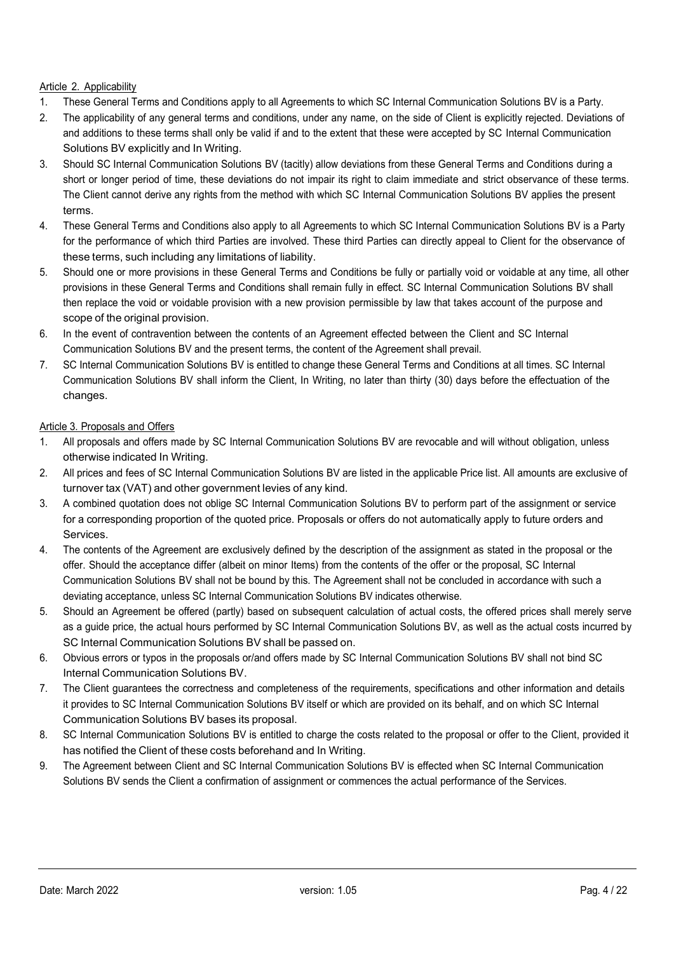# Article 2. Applicability

- 1. These General Terms and Conditions apply to all Agreements to which SC Internal Communication Solutions BV is a Party.
- 2. The applicability of any general terms and conditions, under any name, on the side of Client is explicitly rejected. Deviations of and additions to these terms shall only be valid if and to the extent that these were accepted by SC Internal Communication Solutions BV explicitly and In Writing.
- 3. Should SC Internal Communication Solutions BV (tacitly) allow deviations from these General Terms and Conditions during a short or longer period of time, these deviations do not impair its right to claim immediate and strict observance of these terms. The Client cannot derive any rights from the method with which SC Internal Communication Solutions BV applies the present terms.
- 4. These General Terms and Conditions also apply to all Agreements to which SC Internal Communication Solutions BV is a Party for the performance of which third Parties are involved. These third Parties can directly appeal to Client for the observance of these terms, such including any limitations of liability.
- 5. Should one or more provisions in these General Terms and Conditions be fully or partially void or voidable at any time, all other provisions in these General Terms and Conditions shall remain fully in effect. SC Internal Communication Solutions BV shall then replace the void or voidable provision with a new provision permissible by law that takes account of the purpose and scope of the original provision.
- 6. In the event of contravention between the contents of an Agreement effected between the Client and SC Internal Communication Solutions BV and the present terms, the content of the Agreement shall prevail.
- 7. SC Internal Communication Solutions BV is entitled to change these General Terms and Conditions at all times. SC Internal Communication Solutions BV shall inform the Client, In Writing, no later than thirty (30) days before the effectuation of the changes.

## Article 3. Proposals and Offers

- 1. All proposals and offers made by SC Internal Communication Solutions BV are revocable and will without obligation, unless otherwise indicated In Writing.
- 2. All prices and fees of SC Internal Communication Solutions BV are listed in the applicable Price list. All amounts are exclusive of turnover tax (VAT) and other government levies of any kind.
- 3. A combined quotation does not oblige SC Internal Communication Solutions BV to perform part of the assignment or service for a corresponding proportion of the quoted price. Proposals or offers do not automatically apply to future orders and Services.
- 4. The contents of the Agreement are exclusively defined by the description of the assignment as stated in the proposal or the offer. Should the acceptance differ (albeit on minor Items) from the contents of the offer or the proposal, SC Internal Communication Solutions BV shall not be bound by this. The Agreement shall not be concluded in accordance with such a deviating acceptance, unless SC Internal Communication Solutions BV indicates otherwise.
- 5. Should an Agreement be offered (partly) based on subsequent calculation of actual costs, the offered prices shall merely serve as a guide price, the actual hours performed by SC Internal Communication Solutions BV, as well as the actual costs incurred by SC Internal Communication Solutions BV shall be passed on.
- 6. Obvious errors or typos in the proposals or/and offers made by SC Internal Communication Solutions BV shall not bind SC Internal Communication Solutions BV.
- 7. The Client guarantees the correctness and completeness of the requirements, specifications and other information and details it provides to SC Internal Communication Solutions BV itself or which are provided on its behalf, and on which SC Internal Communication Solutions BV bases its proposal.
- 8. SC Internal Communication Solutions BV is entitled to charge the costs related to the proposal or offer to the Client, provided it has notified the Client of these costs beforehand and In Writing.
- 9. The Agreement between Client and SC Internal Communication Solutions BV is effected when SC Internal Communication Solutions BV sends the Client a confirmation of assignment or commences the actual performance of the Services.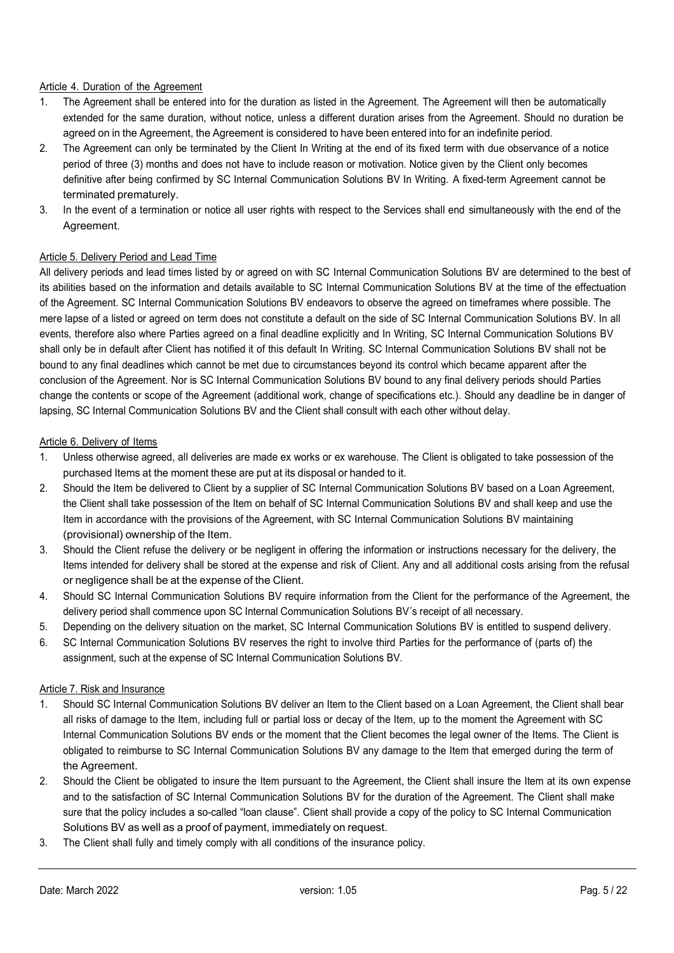#### Article 4. Duration of the Agreement

- 1. The Agreement shall be entered into for the duration as listed in the Agreement. The Agreement will then be automatically extended for the same duration, without notice, unless a different duration arises from the Agreement. Should no duration be agreed on in the Agreement, the Agreement is considered to have been entered into for an indefinite period.
- 2. The Agreement can only be terminated by the Client In Writing at the end of its fixed term with due observance of a notice period of three (3) months and does not have to include reason or motivation. Notice given by the Client only becomes definitive after being confirmed by SC Internal Communication Solutions BV In Writing. A fixed-term Agreement cannot be terminated prematurely.
- 3. In the event of a termination or notice all user rights with respect to the Services shall end simultaneously with the end of the Agreement.

## Article 5. Delivery Period and Lead Time

All delivery periods and lead times listed by or agreed on with SC Internal Communication Solutions BV are determined to the best of its abilities based on the information and details available to SC Internal Communication Solutions BV at the time of the effectuation of the Agreement. SC Internal Communication Solutions BV endeavors to observe the agreed on timeframes where possible. The mere lapse of a listed or agreed on term does not constitute a default on the side of SC Internal Communication Solutions BV. In all events, therefore also where Parties agreed on a final deadline explicitly and In Writing, SC Internal Communication Solutions BV shall only be in default after Client has notified it of this default In Writing. SC Internal Communication Solutions BV shall not be bound to any final deadlines which cannot be met due to circumstances beyond its control which became apparent after the conclusion of the Agreement. Nor is SC Internal Communication Solutions BV bound to any final delivery periods should Parties change the contents or scope of the Agreement (additional work, change of specifications etc.). Should any deadline be in danger of lapsing, SC Internal Communication Solutions BV and the Client shall consult with each other without delay.

#### Article 6. Delivery of Items

- 1. Unless otherwise agreed, all deliveries are made ex works or ex warehouse. The Client is obligated to take possession of the purchased Items at the moment these are put at its disposal or handed to it.
- 2. Should the Item be delivered to Client by a supplier of SC Internal Communication Solutions BV based on a Loan Agreement, the Client shall take possession of the Item on behalf of SC Internal Communication Solutions BV and shall keep and use the Item in accordance with the provisions of the Agreement, with SC Internal Communication Solutions BV maintaining (provisional) ownership of the Item.
- 3. Should the Client refuse the delivery or be negligent in offering the information or instructions necessary for the delivery, the Items intended for delivery shall be stored at the expense and risk of Client. Any and all additional costs arising from the refusal or negligence shall be at the expense of the Client.
- 4. Should SC Internal Communication Solutions BV require information from the Client for the performance of the Agreement, the delivery period shall commence upon SC Internal Communication Solutions BV´s receipt of all necessary.
- 5. Depending on the delivery situation on the market, SC Internal Communication Solutions BV is entitled to suspend delivery.
- 6. SC Internal Communication Solutions BV reserves the right to involve third Parties for the performance of (parts of) the assignment, such at the expense of SC Internal Communication Solutions BV.

#### Article 7. Risk and Insurance

- 1. Should SC Internal Communication Solutions BV deliver an Item to the Client based on a Loan Agreement, the Client shall bear all risks of damage to the Item, including full or partial loss or decay of the Item, up to the moment the Agreement with SC Internal Communication Solutions BV ends or the moment that the Client becomes the legal owner of the Items. The Client is obligated to reimburse to SC Internal Communication Solutions BV any damage to the Item that emerged during the term of the Agreement.
- 2. Should the Client be obligated to insure the Item pursuant to the Agreement, the Client shall insure the Item at its own expense and to the satisfaction of SC Internal Communication Solutions BV for the duration of the Agreement. The Client shall make sure that the policy includes a so-called "loan clause". Client shall provide a copy of the policy to SC Internal Communication Solutions BV as well as a proof of payment, immediately on request.
- 3. The Client shall fully and timely comply with all conditions of the insurance policy.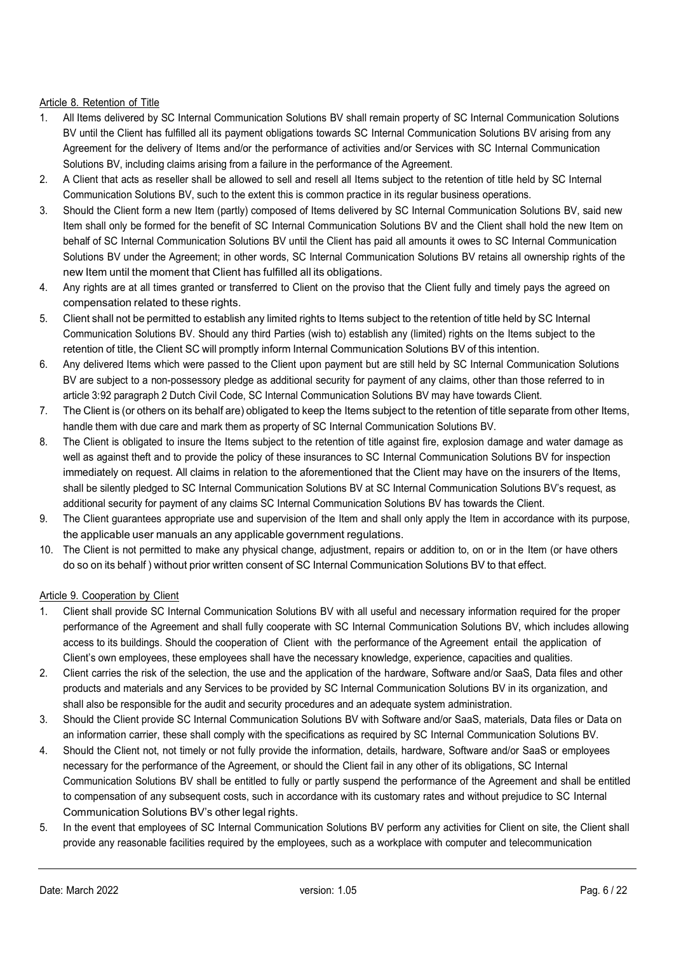## Article 8. Retention of Title

- 1. All Items delivered by SC Internal Communication Solutions BV shall remain property of SC Internal Communication Solutions BV until the Client has fulfilled all its payment obligations towards SC Internal Communication Solutions BV arising from any Agreement for the delivery of Items and/or the performance of activities and/or Services with SC Internal Communication Solutions BV, including claims arising from a failure in the performance of the Agreement.
- 2. A Client that acts as reseller shall be allowed to sell and resell all Items subject to the retention of title held by SC Internal Communication Solutions BV, such to the extent this is common practice in its regular business operations.
- 3. Should the Client form a new Item (partly) composed of Items delivered by SC Internal Communication Solutions BV, said new Item shall only be formed for the benefit of SC Internal Communication Solutions BV and the Client shall hold the new Item on behalf of SC Internal Communication Solutions BV until the Client has paid all amounts it owes to SC Internal Communication Solutions BV under the Agreement; in other words, SC Internal Communication Solutions BV retains all ownership rights of the new Item until the moment that Client has fulfilled all its obligations.
- 4. Any rights are at all times granted or transferred to Client on the proviso that the Client fully and timely pays the agreed on compensation related to these rights.
- 5. Client shall not be permitted to establish any limited rights to Items subject to the retention of title held by SC Internal Communication Solutions BV. Should any third Parties (wish to) establish any (limited) rights on the Items subject to the retention of title, the Client SC will promptly inform Internal Communication Solutions BV of this intention.
- 6. Any delivered Items which were passed to the Client upon payment but are still held by SC Internal Communication Solutions BV are subject to a non-possessory pledge as additional security for payment of any claims, other than those referred to in article 3:92 paragraph 2 Dutch Civil Code, SC Internal Communication Solutions BV may have towards Client.
- 7. The Client is (or others on its behalf are) obligated to keep the Items subject to the retention of title separate from other Items, handle them with due care and mark them as property of SC Internal Communication Solutions BV.
- 8. The Client is obligated to insure the Items subject to the retention of title against fire, explosion damage and water damage as well as against theft and to provide the policy of these insurances to SC Internal Communication Solutions BV for inspection immediately on request. All claims in relation to the aforementioned that the Client may have on the insurers of the Items, shall be silently pledged to SC Internal Communication Solutions BV at SC Internal Communication Solutions BV's request, as additional security for payment of any claims SC Internal Communication Solutions BV has towards the Client.
- 9. The Client guarantees appropriate use and supervision of the Item and shall only apply the Item in accordance with its purpose, the applicable user manuals an any applicable government regulations.
- 10. The Client is not permitted to make any physical change, adjustment, repairs or addition to, on or in the Item (or have others do so on its behalf ) without prior written consent of SC Internal Communication Solutions BV to that effect.

## Article 9. Cooperation by Client

- 1. Client shall provide SC Internal Communication Solutions BV with all useful and necessary information required for the proper performance of the Agreement and shall fully cooperate with SC Internal Communication Solutions BV, which includes allowing access to its buildings. Should the cooperation of Client with the performance of the Agreement entail the application of Client's own employees, these employees shall have the necessary knowledge, experience, capacities and qualities.
- 2. Client carries the risk of the selection, the use and the application of the hardware, Software and/or SaaS, Data files and other products and materials and any Services to be provided by SC Internal Communication Solutions BV in its organization, and shall also be responsible for the audit and security procedures and an adequate system administration.
- 3. Should the Client provide SC Internal Communication Solutions BV with Software and/or SaaS, materials, Data files or Data on an information carrier, these shall comply with the specifications as required by SC Internal Communication Solutions BV.
- 4. Should the Client not, not timely or not fully provide the information, details, hardware, Software and/or SaaS or employees necessary for the performance of the Agreement, or should the Client fail in any other of its obligations, SC Internal Communication Solutions BV shall be entitled to fully or partly suspend the performance of the Agreement and shall be entitled to compensation of any subsequent costs, such in accordance with its customary rates and without prejudice to SC Internal Communication Solutions BV's other legal rights.
- 5. In the event that employees of SC Internal Communication Solutions BV perform any activities for Client on site, the Client shall provide any reasonable facilities required by the employees, such as a workplace with computer and telecommunication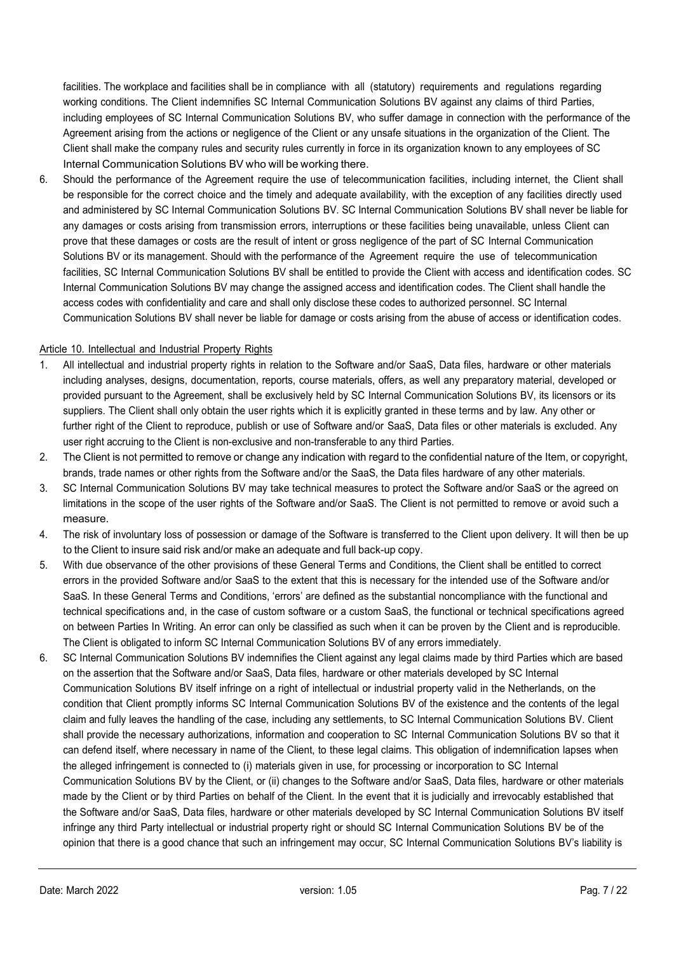facilities. The workplace and facilities shall be in compliance with all (statutory) requirements and regulations regarding working conditions. The Client indemnifies SC Internal Communication Solutions BV against any claims of third Parties, including employees of SC Internal Communication Solutions BV, who suffer damage in connection with the performance of the Agreement arising from the actions or negligence of the Client or any unsafe situations in the organization of the Client. The Client shall make the company rules and security rules currently in force in its organization known to any employees of SC Internal Communication Solutions BV who will be working there.

6. Should the performance of the Agreement require the use of telecommunication facilities, including internet, the Client shall be responsible for the correct choice and the timely and adequate availability, with the exception of any facilities directly used and administered by SC Internal Communication Solutions BV. SC Internal Communication Solutions BV shall never be liable for any damages or costs arising from transmission errors, interruptions or these facilities being unavailable, unless Client can prove that these damages or costs are the result of intent or gross negligence of the part of SC Internal Communication Solutions BV or its management. Should with the performance of the Agreement require the use of telecommunication facilities, SC Internal Communication Solutions BV shall be entitled to provide the Client with access and identification codes. SC Internal Communication Solutions BV may change the assigned access and identification codes. The Client shall handle the access codes with confidentiality and care and shall only disclose these codes to authorized personnel. SC Internal Communication Solutions BV shall never be liable for damage or costs arising from the abuse of access or identification codes.

#### Article 10. Intellectual and Industrial Property Rights

- 1. All intellectual and industrial property rights in relation to the Software and/or SaaS, Data files, hardware or other materials including analyses, designs, documentation, reports, course materials, offers, as well any preparatory material, developed or provided pursuant to the Agreement, shall be exclusively held by SC Internal Communication Solutions BV, its licensors or its suppliers. The Client shall only obtain the user rights which it is explicitly granted in these terms and by law. Any other or further right of the Client to reproduce, publish or use of Software and/or SaaS, Data files or other materials is excluded. Any user right accruing to the Client is non-exclusive and non-transferable to any third Parties.
- 2. The Client is not permitted to remove or change any indication with regard to the confidential nature of the Item, or copyright, brands, trade names or other rights from the Software and/or the SaaS, the Data files hardware of any other materials.
- 3. SC Internal Communication Solutions BV may take technical measures to protect the Software and/or SaaS or the agreed on limitations in the scope of the user rights of the Software and/or SaaS. The Client is not permitted to remove or avoid such a measure.
- 4. The risk of involuntary loss of possession or damage of the Software is transferred to the Client upon delivery. It will then be up to the Client to insure said risk and/or make an adequate and full back-up copy.
- 5. With due observance of the other provisions of these General Terms and Conditions, the Client shall be entitled to correct errors in the provided Software and/or SaaS to the extent that this is necessary for the intended use of the Software and/or SaaS. In these General Terms and Conditions, 'errors' are defined as the substantial noncompliance with the functional and technical specifications and, in the case of custom software or a custom SaaS, the functional or technical specifications agreed on between Parties In Writing. An error can only be classified as such when it can be proven by the Client and is reproducible. The Client is obligated to inform SC Internal Communication Solutions BV of any errors immediately.
- 6. SC Internal Communication Solutions BV indemnifies the Client against any legal claims made by third Parties which are based on the assertion that the Software and/or SaaS, Data files, hardware or other materials developed by SC Internal Communication Solutions BV itself infringe on a right of intellectual or industrial property valid in the Netherlands, on the condition that Client promptly informs SC Internal Communication Solutions BV of the existence and the contents of the legal claim and fully leaves the handling of the case, including any settlements, to SC Internal Communication Solutions BV. Client shall provide the necessary authorizations, information and cooperation to SC Internal Communication Solutions BV so that it can defend itself, where necessary in name of the Client, to these legal claims. This obligation of indemnification lapses when the alleged infringement is connected to (i) materials given in use, for processing or incorporation to SC Internal Communication Solutions BV by the Client, or (ii) changes to the Software and/or SaaS, Data files, hardware or other materials made by the Client or by third Parties on behalf of the Client. In the event that it is judicially and irrevocably established that the Software and/or SaaS, Data files, hardware or other materials developed by SC Internal Communication Solutions BV itself infringe any third Party intellectual or industrial property right or should SC Internal Communication Solutions BV be of the opinion that there is a good chance that such an infringement may occur, SC Internal Communication Solutions BV's liability is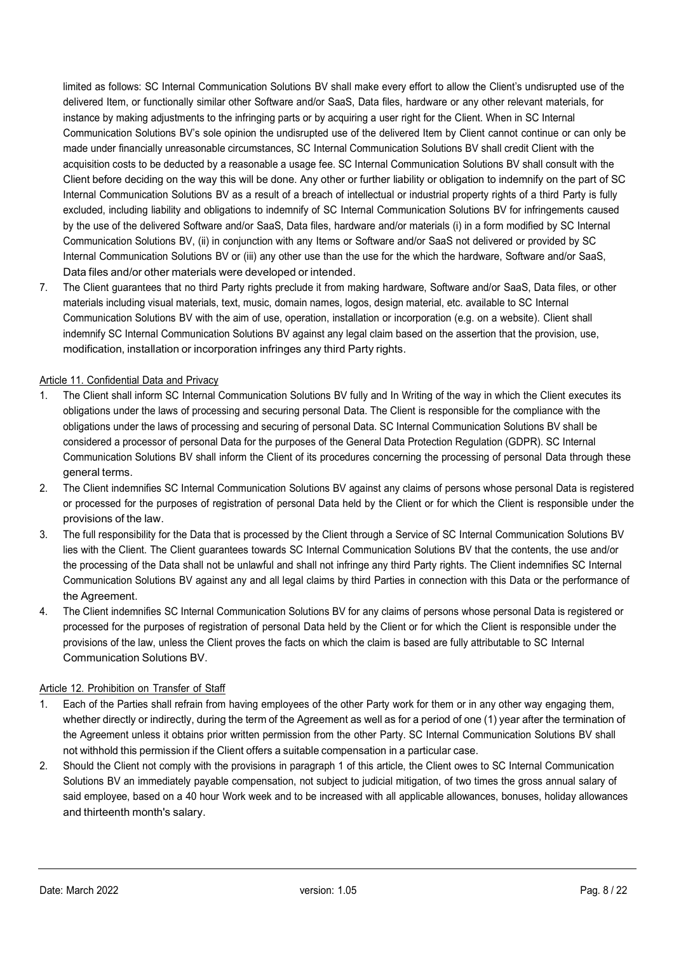limited as follows: SC Internal Communication Solutions BV shall make every effort to allow the Client's undisrupted use of the delivered Item, or functionally similar other Software and/or SaaS, Data files, hardware or any other relevant materials, for instance by making adjustments to the infringing parts or by acquiring a user right for the Client. When in SC Internal Communication Solutions BV's sole opinion the undisrupted use of the delivered Item by Client cannot continue or can only be made under financially unreasonable circumstances, SC Internal Communication Solutions BV shall credit Client with the acquisition costs to be deducted by a reasonable a usage fee. SC Internal Communication Solutions BV shall consult with the Client before deciding on the way this will be done. Any other or further liability or obligation to indemnify on the part of SC Internal Communication Solutions BV as a result of a breach of intellectual or industrial property rights of a third Party is fully excluded, including liability and obligations to indemnify of SC Internal Communication Solutions BV for infringements caused by the use of the delivered Software and/or SaaS, Data files, hardware and/or materials (i) in a form modified by SC Internal Communication Solutions BV, (ii) in conjunction with any Items or Software and/or SaaS not delivered or provided by SC Internal Communication Solutions BV or (iii) any other use than the use for the which the hardware, Software and/or SaaS, Data files and/or other materials were developed or intended.

7. The Client guarantees that no third Party rights preclude it from making hardware, Software and/or SaaS, Data files, or other materials including visual materials, text, music, domain names, logos, design material, etc. available to SC Internal Communication Solutions BV with the aim of use, operation, installation or incorporation (e.g. on a website). Client shall indemnify SC Internal Communication Solutions BV against any legal claim based on the assertion that the provision, use, modification, installation or incorporation infringes any third Party rights.

# Article 11. Confidential Data and Privacy

- 1. The Client shall inform SC Internal Communication Solutions BV fully and In Writing of the way in which the Client executes its obligations under the laws of processing and securing personal Data. The Client is responsible for the compliance with the obligations under the laws of processing and securing of personal Data. SC Internal Communication Solutions BV shall be considered a processor of personal Data for the purposes of the General Data Protection Regulation (GDPR). SC Internal Communication Solutions BV shall inform the Client of its procedures concerning the processing of personal Data through these general terms.
- 2. The Client indemnifies SC Internal Communication Solutions BV against any claims of persons whose personal Data is registered or processed for the purposes of registration of personal Data held by the Client or for which the Client is responsible under the provisions of the law.
- 3. The full responsibility for the Data that is processed by the Client through a Service of SC Internal Communication Solutions BV lies with the Client. The Client guarantees towards SC Internal Communication Solutions BV that the contents, the use and/or the processing of the Data shall not be unlawful and shall not infringe any third Party rights. The Client indemnifies SC Internal Communication Solutions BV against any and all legal claims by third Parties in connection with this Data or the performance of the Agreement.
- 4. The Client indemnifies SC Internal Communication Solutions BV for any claims of persons whose personal Data is registered or processed for the purposes of registration of personal Data held by the Client or for which the Client is responsible under the provisions of the law, unless the Client proves the facts on which the claim is based are fully attributable to SC Internal Communication Solutions BV.

## Article 12. Prohibition on Transfer of Staff

- 1. Each of the Parties shall refrain from having employees of the other Party work for them or in any other way engaging them, whether directly or indirectly, during the term of the Agreement as well as for a period of one (1) year after the termination of the Agreement unless it obtains prior written permission from the other Party. SC Internal Communication Solutions BV shall not withhold this permission if the Client offers a suitable compensation in a particular case.
- 2. Should the Client not comply with the provisions in paragraph 1 of this article, the Client owes to SC Internal Communication Solutions BV an immediately payable compensation, not subject to judicial mitigation, of two times the gross annual salary of said employee, based on a 40 hour Work week and to be increased with all applicable allowances, bonuses, holiday allowances and thirteenth month's salary.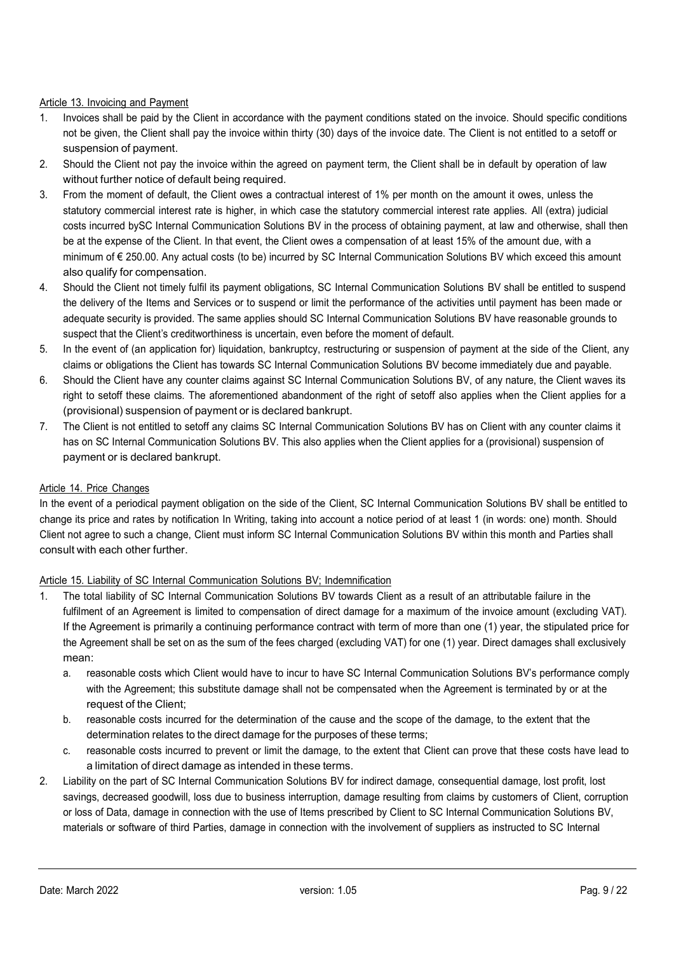# Article 13. Invoicing and Payment

- 1. Invoices shall be paid by the Client in accordance with the payment conditions stated on the invoice. Should specific conditions not be given, the Client shall pay the invoice within thirty (30) days of the invoice date. The Client is not entitled to a setoff or suspension of payment.
- 2. Should the Client not pay the invoice within the agreed on payment term, the Client shall be in default by operation of law without further notice of default being required.
- 3. From the moment of default, the Client owes a contractual interest of 1% per month on the amount it owes, unless the statutory commercial interest rate is higher, in which case the statutory commercial interest rate applies. All (extra) judicial costs incurred bySC Internal Communication Solutions BV in the process of obtaining payment, at law and otherwise, shall then be at the expense of the Client. In that event, the Client owes a compensation of at least 15% of the amount due, with a minimum of € 250.00. Any actual costs (to be) incurred by SC Internal Communication Solutions BV which exceed this amount also qualify for compensation.
- 4. Should the Client not timely fulfil its payment obligations, SC Internal Communication Solutions BV shall be entitled to suspend the delivery of the Items and Services or to suspend or limit the performance of the activities until payment has been made or adequate security is provided. The same applies should SC Internal Communication Solutions BV have reasonable grounds to suspect that the Client's creditworthiness is uncertain, even before the moment of default.
- 5. In the event of (an application for) liquidation, bankruptcy, restructuring or suspension of payment at the side of the Client, any claims or obligations the Client has towards SC Internal Communication Solutions BV become immediately due and payable.
- 6. Should the Client have any counter claims against SC Internal Communication Solutions BV, of any nature, the Client waves its right to setoff these claims. The aforementioned abandonment of the right of setoff also applies when the Client applies for a (provisional) suspension of payment or is declared bankrupt.
- 7. The Client is not entitled to setoff any claims SC Internal Communication Solutions BV has on Client with any counter claims it has on SC Internal Communication Solutions BV. This also applies when the Client applies for a (provisional) suspension of payment or is declared bankrupt.

## Article 14. Price Changes

In the event of a periodical payment obligation on the side of the Client, SC Internal Communication Solutions BV shall be entitled to change its price and rates by notification In Writing, taking into account a notice period of at least 1 (in words: one) month. Should Client not agree to such a change, Client must inform SC Internal Communication Solutions BV within this month and Parties shall consult with each other further.

## Article 15. Liability of SC Internal Communication Solutions BV; Indemnification

- 1. The total liability of SC Internal Communication Solutions BV towards Client as a result of an attributable failure in the fulfilment of an Agreement is limited to compensation of direct damage for a maximum of the invoice amount (excluding VAT). If the Agreement is primarily a continuing performance contract with term of more than one (1) year, the stipulated price for the Agreement shall be set on as the sum of the fees charged (excluding VAT) for one (1) year. Direct damages shall exclusively mean:
	- a. reasonable costs which Client would have to incur to have SC Internal Communication Solutions BV's performance comply with the Agreement; this substitute damage shall not be compensated when the Agreement is terminated by or at the request of the Client;
	- b. reasonable costs incurred for the determination of the cause and the scope of the damage, to the extent that the determination relates to the direct damage for the purposes of these terms;
	- c. reasonable costs incurred to prevent or limit the damage, to the extent that Client can prove that these costs have lead to a limitation of direct damage as intended in these terms.
- 2. Liability on the part of SC Internal Communication Solutions BV for indirect damage, consequential damage, lost profit, lost savings, decreased goodwill, loss due to business interruption, damage resulting from claims by customers of Client, corruption or loss of Data, damage in connection with the use of Items prescribed by Client to SC Internal Communication Solutions BV, materials or software of third Parties, damage in connection with the involvement of suppliers as instructed to SC Internal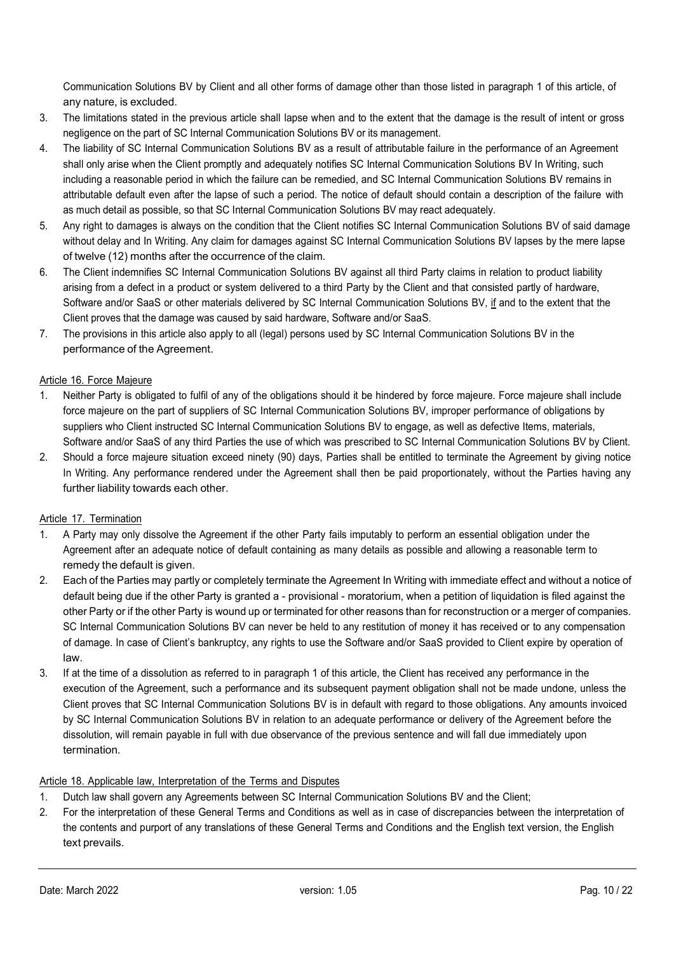Communication Solutions BV by Client and all other forms of damage other than those listed in paragraph 1 of this article, of any nature, is excluded.

- 3. The limitations stated in the previous article shall lapse when and to the extent that the damage is the result of intent or gross negligence on the part of SC Internal Communication Solutions BV or its management.
- 4. The liability of SC Internal Communication Solutions BV as a result of attributable failure in the performance of an Agreement shall only arise when the Client promptly and adequately notifies SC Internal Communication Solutions BV In Writing, such including a reasonable period in which the failure can be remedied, and SC Internal Communication Solutions BV remains in attributable default even after the lapse of such a period. The notice of default should contain a description of the failure with as much detail as possible, so that SC Internal Communication Solutions BV may react adequately.
- 5. Any right to damages is always on the condition that the Client notifies SC Internal Communication Solutions BV of said damage without delay and In Writing. Any claim for damages against SC Internal Communication Solutions BV lapses by the mere lapse of twelve (12) months after the occurrence of the claim.
- 6. The Client indemnifies SC Internal Communication Solutions BV against all third Party claims in relation to product liability arising from a defect in a product or system delivered to a third Party by the Client and that consisted partly of hardware, Software and/or SaaS or other materials delivered by SC Internal Communication Solutions BV, if and to the extent that the Client proves that the damage was caused by said hardware, Software and/or SaaS.
- 7. The provisions in this article also apply to all (legal) persons used by SC Internal Communication Solutions BV in the performance of the Agreement.

# Article 16. Force Majeure

- 1. Neither Party is obligated to fulfil of any of the obligations should it be hindered by force majeure. Force majeure shall include force majeure on the part of suppliers of SC Internal Communication Solutions BV, improper performance of obligations by suppliers who Client instructed SC Internal Communication Solutions BV to engage, as well as defective Items, materials, Software and/or SaaS of any third Parties the use of which was prescribed to SC Internal Communication Solutions BV by Client.
- 2. Should a force majeure situation exceed ninety (90) days, Parties shall be entitled to terminate the Agreement by giving notice In Writing. Any performance rendered under the Agreement shall then be paid proportionately, without the Parties having any further liability towards each other.

# Article 17. Termination

- 1. A Party may only dissolve the Agreement if the other Party fails imputably to perform an essential obligation under the Agreement after an adequate notice of default containing as many details as possible and allowing a reasonable term to remedy the default is given.
- 2. Each of the Parties may partly or completely terminate the Agreement In Writing with immediate effect and without a notice of default being due if the other Party is granted a - provisional - moratorium, when a petition of liquidation is filed against the other Party or if the other Party is wound up or terminated for other reasons than for reconstruction or a merger of companies. SC Internal Communication Solutions BV can never be held to any restitution of money it has received or to any compensation of damage. In case of Client's bankruptcy, any rights to use the Software and/or SaaS provided to Client expire by operation of law.
- 3. If at the time of a dissolution as referred to in paragraph 1 of this article, the Client has received any performance in the execution of the Agreement, such a performance and its subsequent payment obligation shall not be made undone, unless the Client proves that SC Internal Communication Solutions BV is in default with regard to those obligations. Any amounts invoiced by SC Internal Communication Solutions BV in relation to an adequate performance or delivery of the Agreement before the dissolution, will remain payable in full with due observance of the previous sentence and will fall due immediately upon termination.

## Article 18. Applicable law, Interpretation of the Terms and Disputes

- 1. Dutch law shall govern any Agreements between SC Internal Communication Solutions BV and the Client;
- 2. For the interpretation of these General Terms and Conditions as well as in case of discrepancies between the interpretation of the contents and purport of any translations of these General Terms and Conditions and the English text version, the English text prevails.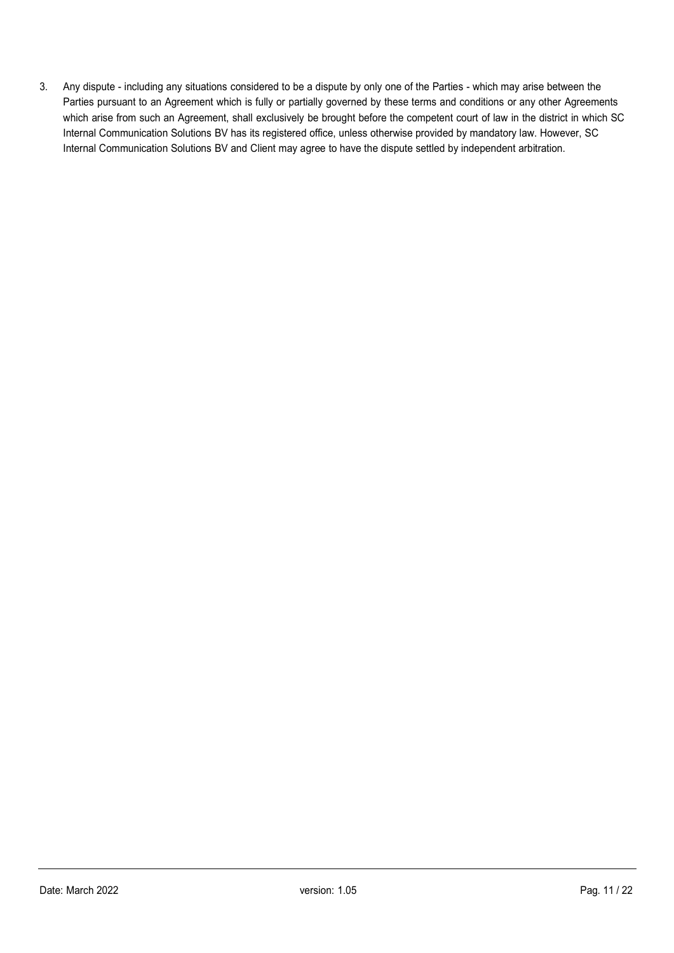3. Any dispute - including any situations considered to be a dispute by only one of the Parties - which may arise between the Parties pursuant to an Agreement which is fully or partially governed by these terms and conditions or any other Agreements which arise from such an Agreement, shall exclusively be brought before the competent court of law in the district in which SC Internal Communication Solutions BV has its registered office, unless otherwise provided by mandatory law. However, SC Internal Communication Solutions BV and Client may agree to have the dispute settled by independent arbitration.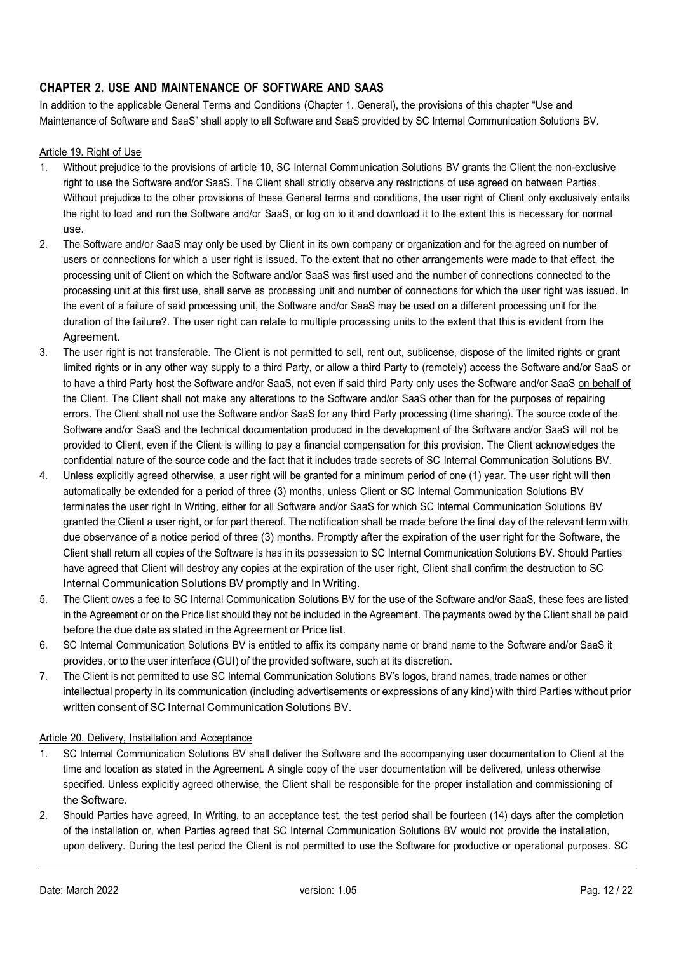# CHAPTER 2. USE AND MAINTENANCE OF SOFTWARE AND SAAS

In addition to the applicable General Terms and Conditions (Chapter 1. General), the provisions of this chapter "Use and Maintenance of Software and SaaS" shall apply to all Software and SaaS provided by SC Internal Communication Solutions BV.

# Article 19. Right of Use

- 1. Without prejudice to the provisions of article 10, SC Internal Communication Solutions BV grants the Client the non-exclusive right to use the Software and/or SaaS. The Client shall strictly observe any restrictions of use agreed on between Parties. Without prejudice to the other provisions of these General terms and conditions, the user right of Client only exclusively entails the right to load and run the Software and/or SaaS, or log on to it and download it to the extent this is necessary for normal use.
- 2. The Software and/or SaaS may only be used by Client in its own company or organization and for the agreed on number of users or connections for which a user right is issued. To the extent that no other arrangements were made to that effect, the processing unit of Client on which the Software and/or SaaS was first used and the number of connections connected to the processing unit at this first use, shall serve as processing unit and number of connections for which the user right was issued. In the event of a failure of said processing unit, the Software and/or SaaS may be used on a different processing unit for the duration of the failure?. The user right can relate to multiple processing units to the extent that this is evident from the Agreement.
- 3. The user right is not transferable. The Client is not permitted to sell, rent out, sublicense, dispose of the limited rights or grant limited rights or in any other way supply to a third Party, or allow a third Party to (remotely) access the Software and/or SaaS or to have a third Party host the Software and/or SaaS, not even if said third Party only uses the Software and/or SaaS on behalf of the Client. The Client shall not make any alterations to the Software and/or SaaS other than for the purposes of repairing errors. The Client shall not use the Software and/or SaaS for any third Party processing (time sharing). The source code of the Software and/or SaaS and the technical documentation produced in the development of the Software and/or SaaS will not be provided to Client, even if the Client is willing to pay a financial compensation for this provision. The Client acknowledges the confidential nature of the source code and the fact that it includes trade secrets of SC Internal Communication Solutions BV.
- 4. Unless explicitly agreed otherwise, a user right will be granted for a minimum period of one (1) year. The user right will then automatically be extended for a period of three (3) months, unless Client or SC Internal Communication Solutions BV terminates the user right In Writing, either for all Software and/or SaaS for which SC Internal Communication Solutions BV granted the Client a user right, or for part thereof. The notification shall be made before the final day of the relevant term with due observance of a notice period of three (3) months. Promptly after the expiration of the user right for the Software, the Client shall return all copies of the Software is has in its possession to SC Internal Communication Solutions BV. Should Parties have agreed that Client will destroy any copies at the expiration of the user right, Client shall confirm the destruction to SC Internal Communication Solutions BV promptly and In Writing.
- 5. The Client owes a fee to SC Internal Communication Solutions BV for the use of the Software and/or SaaS, these fees are listed in the Agreement or on the Price list should they not be included in the Agreement. The payments owed by the Client shall be paid before the due date as stated in the Agreement or Price list.
- 6. SC Internal Communication Solutions BV is entitled to affix its company name or brand name to the Software and/or SaaS it provides, or to the user interface (GUI) of the provided software, such at its discretion.
- 7. The Client is not permitted to use SC Internal Communication Solutions BV's logos, brand names, trade names or other intellectual property in its communication (including advertisements or expressions of any kind) with third Parties without prior written consent of SC Internal Communication Solutions BV.

## Article 20. Delivery, Installation and Acceptance

- 1. SC Internal Communication Solutions BV shall deliver the Software and the accompanying user documentation to Client at the time and location as stated in the Agreement. A single copy of the user documentation will be delivered, unless otherwise specified. Unless explicitly agreed otherwise, the Client shall be responsible for the proper installation and commissioning of the Software.
- 2. Should Parties have agreed, In Writing, to an acceptance test, the test period shall be fourteen (14) days after the completion of the installation or, when Parties agreed that SC Internal Communication Solutions BV would not provide the installation, upon delivery. During the test period the Client is not permitted to use the Software for productive or operational purposes. SC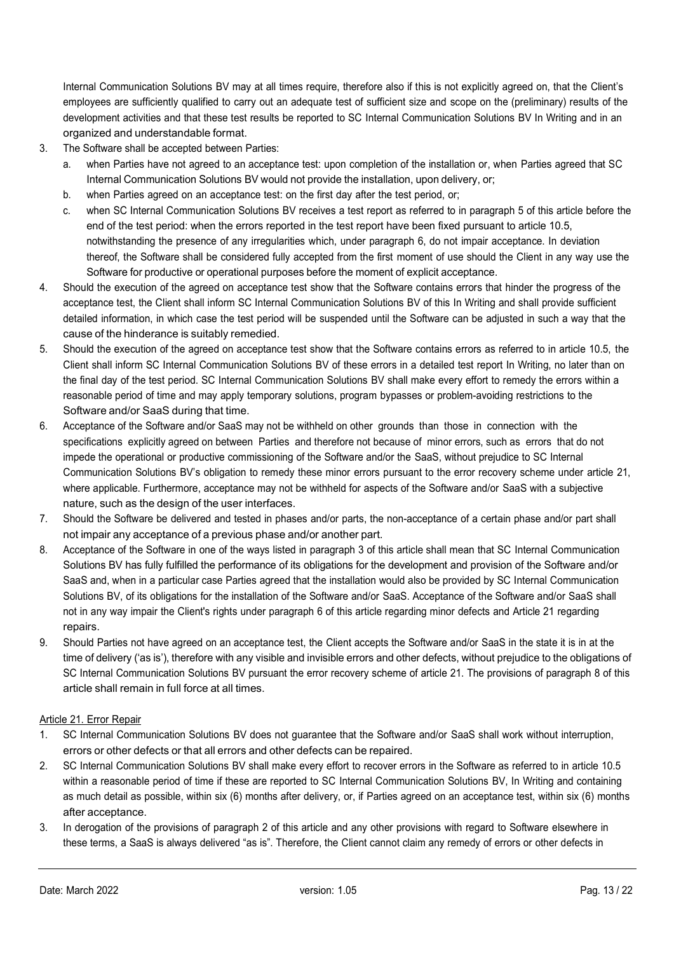Internal Communication Solutions BV may at all times require, therefore also if this is not explicitly agreed on, that the Client's employees are sufficiently qualified to carry out an adequate test of sufficient size and scope on the (preliminary) results of the development activities and that these test results be reported to SC Internal Communication Solutions BV In Writing and in an organized and understandable format.

- 3. The Software shall be accepted between Parties:
	- a. when Parties have not agreed to an acceptance test: upon completion of the installation or, when Parties agreed that SC Internal Communication Solutions BV would not provide the installation, upon delivery, or;
	- b. when Parties agreed on an acceptance test: on the first day after the test period, or;
	- c. when SC Internal Communication Solutions BV receives a test report as referred to in paragraph 5 of this article before the end of the test period: when the errors reported in the test report have been fixed pursuant to article 10.5, notwithstanding the presence of any irregularities which, under paragraph 6, do not impair acceptance. In deviation thereof, the Software shall be considered fully accepted from the first moment of use should the Client in any way use the Software for productive or operational purposes before the moment of explicit acceptance.
- 4. Should the execution of the agreed on acceptance test show that the Software contains errors that hinder the progress of the acceptance test, the Client shall inform SC Internal Communication Solutions BV of this In Writing and shall provide sufficient detailed information, in which case the test period will be suspended until the Software can be adjusted in such a way that the cause of the hinderance is suitably remedied.
- 5. Should the execution of the agreed on acceptance test show that the Software contains errors as referred to in article 10.5, the Client shall inform SC Internal Communication Solutions BV of these errors in a detailed test report In Writing, no later than on the final day of the test period. SC Internal Communication Solutions BV shall make every effort to remedy the errors within a reasonable period of time and may apply temporary solutions, program bypasses or problem-avoiding restrictions to the Software and/or SaaS during that time.
- 6. Acceptance of the Software and/or SaaS may not be withheld on other grounds than those in connection with the specifications explicitly agreed on between Parties and therefore not because of minor errors, such as errors that do not impede the operational or productive commissioning of the Software and/or the SaaS, without prejudice to SC Internal Communication Solutions BV's obligation to remedy these minor errors pursuant to the error recovery scheme under article 21, where applicable. Furthermore, acceptance may not be withheld for aspects of the Software and/or SaaS with a subjective nature, such as the design of the user interfaces.
- 7. Should the Software be delivered and tested in phases and/or parts, the non-acceptance of a certain phase and/or part shall not impair any acceptance of a previous phase and/or another part.
- 8. Acceptance of the Software in one of the ways listed in paragraph 3 of this article shall mean that SC Internal Communication Solutions BV has fully fulfilled the performance of its obligations for the development and provision of the Software and/or SaaS and, when in a particular case Parties agreed that the installation would also be provided by SC Internal Communication Solutions BV, of its obligations for the installation of the Software and/or SaaS. Acceptance of the Software and/or SaaS shall not in any way impair the Client's rights under paragraph 6 of this article regarding minor defects and Article 21 regarding repairs.
- 9. Should Parties not have agreed on an acceptance test, the Client accepts the Software and/or SaaS in the state it is in at the time of delivery ('as is'), therefore with any visible and invisible errors and other defects, without prejudice to the obligations of SC Internal Communication Solutions BV pursuant the error recovery scheme of article 21. The provisions of paragraph 8 of this article shall remain in full force at all times.

## Article 21. Error Repair

- 1. SC Internal Communication Solutions BV does not guarantee that the Software and/or SaaS shall work without interruption, errors or other defects or that all errors and other defects can be repaired.
- 2. SC Internal Communication Solutions BV shall make every effort to recover errors in the Software as referred to in article 10.5 within a reasonable period of time if these are reported to SC Internal Communication Solutions BV, In Writing and containing as much detail as possible, within six (6) months after delivery, or, if Parties agreed on an acceptance test, within six (6) months after acceptance.
- 3. In derogation of the provisions of paragraph 2 of this article and any other provisions with regard to Software elsewhere in these terms, a SaaS is always delivered "as is". Therefore, the Client cannot claim any remedy of errors or other defects in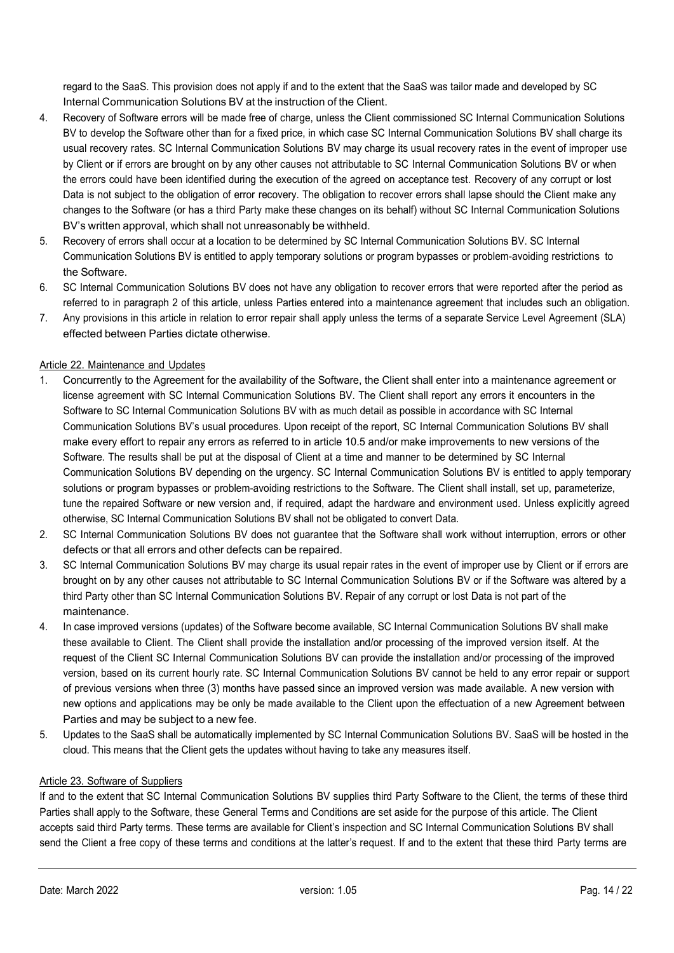regard to the SaaS. This provision does not apply if and to the extent that the SaaS was tailor made and developed by SC Internal Communication Solutions BV at the instruction of the Client.

- 4. Recovery of Software errors will be made free of charge, unless the Client commissioned SC Internal Communication Solutions BV to develop the Software other than for a fixed price, in which case SC Internal Communication Solutions BV shall charge its usual recovery rates. SC Internal Communication Solutions BV may charge its usual recovery rates in the event of improper use by Client or if errors are brought on by any other causes not attributable to SC Internal Communication Solutions BV or when the errors could have been identified during the execution of the agreed on acceptance test. Recovery of any corrupt or lost Data is not subject to the obligation of error recovery. The obligation to recover errors shall lapse should the Client make any changes to the Software (or has a third Party make these changes on its behalf) without SC Internal Communication Solutions BV's written approval, which shall not unreasonably be withheld.
- 5. Recovery of errors shall occur at a location to be determined by SC Internal Communication Solutions BV. SC Internal Communication Solutions BV is entitled to apply temporary solutions or program bypasses or problem-avoiding restrictions to the Software.
- 6. SC Internal Communication Solutions BV does not have any obligation to recover errors that were reported after the period as referred to in paragraph 2 of this article, unless Parties entered into a maintenance agreement that includes such an obligation.
- 7. Any provisions in this article in relation to error repair shall apply unless the terms of a separate Service Level Agreement (SLA) effected between Parties dictate otherwise.

# Article 22. Maintenance and Updates

- 1. Concurrently to the Agreement for the availability of the Software, the Client shall enter into a maintenance agreement or license agreement with SC Internal Communication Solutions BV. The Client shall report any errors it encounters in the Software to SC Internal Communication Solutions BV with as much detail as possible in accordance with SC Internal Communication Solutions BV's usual procedures. Upon receipt of the report, SC Internal Communication Solutions BV shall make every effort to repair any errors as referred to in article 10.5 and/or make improvements to new versions of the Software. The results shall be put at the disposal of Client at a time and manner to be determined by SC Internal Communication Solutions BV depending on the urgency. SC Internal Communication Solutions BV is entitled to apply temporary solutions or program bypasses or problem-avoiding restrictions to the Software. The Client shall install, set up, parameterize, tune the repaired Software or new version and, if required, adapt the hardware and environment used. Unless explicitly agreed otherwise, SC Internal Communication Solutions BV shall not be obligated to convert Data.
- 2. SC Internal Communication Solutions BV does not guarantee that the Software shall work without interruption, errors or other defects or that all errors and other defects can be repaired.
- 3. SC Internal Communication Solutions BV may charge its usual repair rates in the event of improper use by Client or if errors are brought on by any other causes not attributable to SC Internal Communication Solutions BV or if the Software was altered by a third Party other than SC Internal Communication Solutions BV. Repair of any corrupt or lost Data is not part of the maintenance.
- 4. In case improved versions (updates) of the Software become available, SC Internal Communication Solutions BV shall make these available to Client. The Client shall provide the installation and/or processing of the improved version itself. At the request of the Client SC Internal Communication Solutions BV can provide the installation and/or processing of the improved version, based on its current hourly rate. SC Internal Communication Solutions BV cannot be held to any error repair or support of previous versions when three (3) months have passed since an improved version was made available. A new version with new options and applications may be only be made available to the Client upon the effectuation of a new Agreement between Parties and may be subject to a new fee.
- 5. Updates to the SaaS shall be automatically implemented by SC Internal Communication Solutions BV. SaaS will be hosted in the cloud. This means that the Client gets the updates without having to take any measures itself.

## Article 23. Software of Suppliers

If and to the extent that SC Internal Communication Solutions BV supplies third Party Software to the Client, the terms of these third Parties shall apply to the Software, these General Terms and Conditions are set aside for the purpose of this article. The Client accepts said third Party terms. These terms are available for Client's inspection and SC Internal Communication Solutions BV shall send the Client a free copy of these terms and conditions at the latter's request. If and to the extent that these third Party terms are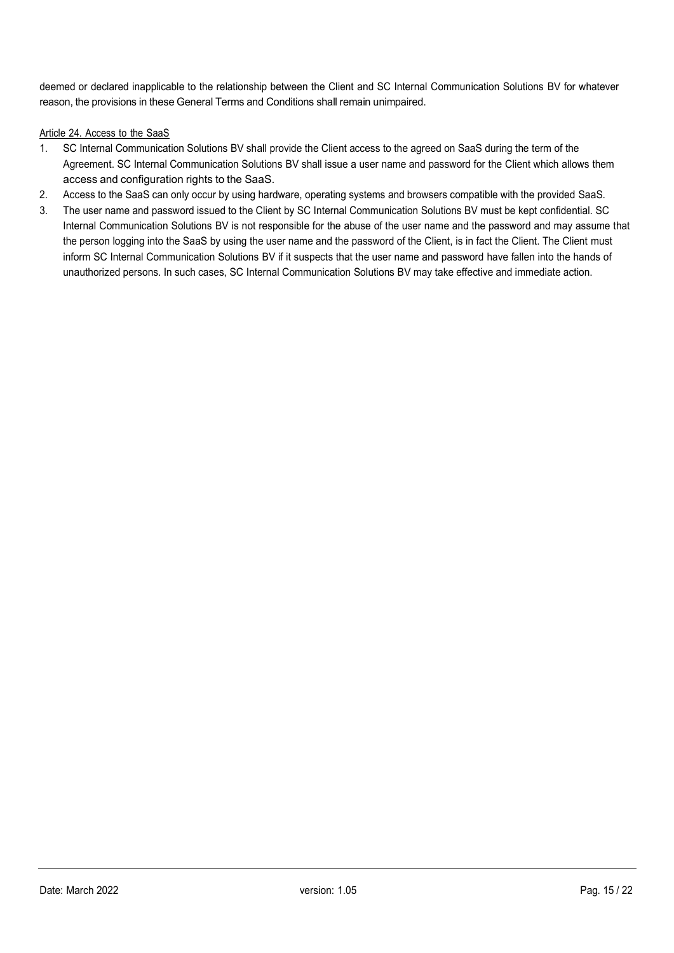deemed or declared inapplicable to the relationship between the Client and SC Internal Communication Solutions BV for whatever reason, the provisions in these General Terms and Conditions shall remain unimpaired.

## Article 24. Access to the SaaS

- 1. SC Internal Communication Solutions BV shall provide the Client access to the agreed on SaaS during the term of the Agreement. SC Internal Communication Solutions BV shall issue a user name and password for the Client which allows them access and configuration rights to the SaaS.
- 2. Access to the SaaS can only occur by using hardware, operating systems and browsers compatible with the provided SaaS.
- 3. The user name and password issued to the Client by SC Internal Communication Solutions BV must be kept confidential. SC Internal Communication Solutions BV is not responsible for the abuse of the user name and the password and may assume that the person logging into the SaaS by using the user name and the password of the Client, is in fact the Client. The Client must inform SC Internal Communication Solutions BV if it suspects that the user name and password have fallen into the hands of unauthorized persons. In such cases, SC Internal Communication Solutions BV may take effective and immediate action.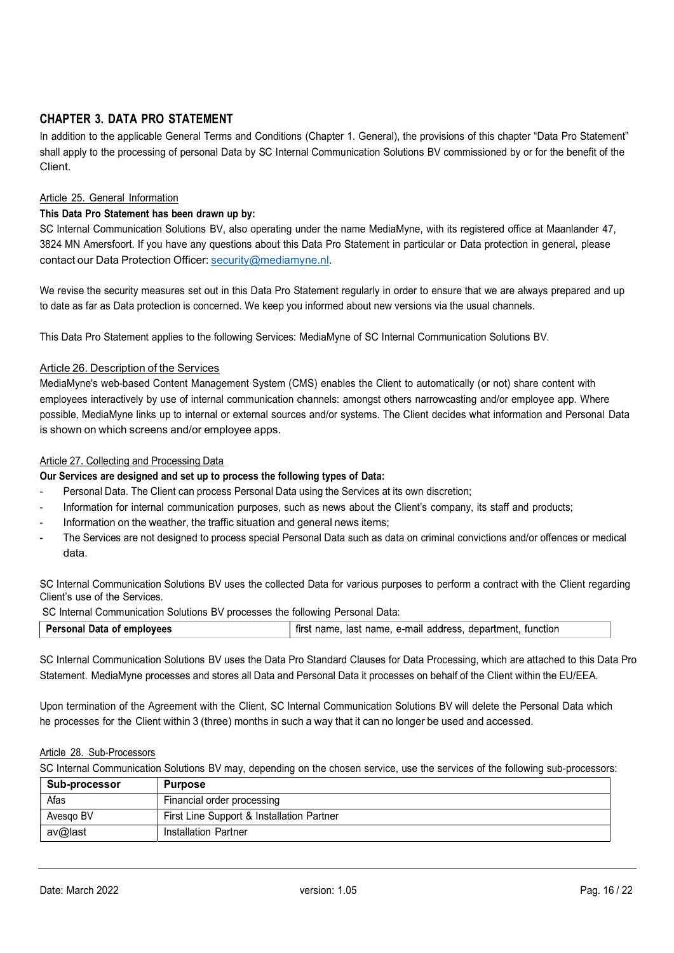# CHAPTER 3. DATA PRO STATEMENT

In addition to the applicable General Terms and Conditions (Chapter 1. General), the provisions of this chapter "Data Pro Statement" shall apply to the processing of personal Data by SC Internal Communication Solutions BV commissioned by or for the benefit of the Client.

## Article 25. General Information

#### This Data Pro Statement has been drawn up by:

SC Internal Communication Solutions BV, also operating under the name MediaMyne, with its registered office at Maanlander 47, 3824 MN Amersfoort. If you have any questions about this Data Pro Statement in particular or Data protection in general, please contact our Data Protection Officer: security@mediamyne.nl.

We revise the security measures set out in this Data Pro Statement regularly in order to ensure that we are always prepared and up to date as far as Data protection is concerned. We keep you informed about new versions via the usual channels.

This Data Pro Statement applies to the following Services: MediaMyne of SC Internal Communication Solutions BV.

#### Article 26. Description of the Services

MediaMyne's web-based Content Management System (CMS) enables the Client to automatically (or not) share content with employees interactively by use of internal communication channels: amongst others narrowcasting and/or employee app. Where possible, MediaMyne links up to internal or external sources and/or systems. The Client decides what information and Personal Data is shown on which screens and/or employee apps.

#### Article 27. Collecting and Processing Data

#### Our Services are designed and set up to process the following types of Data:

- Personal Data. The Client can process Personal Data using the Services at its own discretion;
- Information for internal communication purposes, such as news about the Client's company, its staff and products;
- Information on the weather, the traffic situation and general news items;
- The Services are not designed to process special Personal Data such as data on criminal convictions and/or offences or medical data.

SC Internal Communication Solutions BV uses the collected Data for various purposes to perform a contract with the Client regarding Client's use of the Services.

SC Internal Communication Solutions BV processes the following Personal Data:

| Personal Data of employees<br>first name, last name, e-mail address, department, function |  |
|-------------------------------------------------------------------------------------------|--|
|                                                                                           |  |

SC Internal Communication Solutions BV uses the Data Pro Standard Clauses for Data Processing, which are attached to this Data Pro Statement. MediaMyne processes and stores all Data and Personal Data it processes on behalf of the Client within the EU/EEA.

Upon termination of the Agreement with the Client, SC Internal Communication Solutions BV will delete the Personal Data which he processes for the Client within 3 (three) months in such a way that it can no longer be used and accessed.

#### Article 28. Sub-Processors

SC Internal Communication Solutions BV may, depending on the chosen service, use the services of the following sub-processors:

| Sub-processor | <b>Purpose</b>                            |  |
|---------------|-------------------------------------------|--|
| Afas          | Financial order processing                |  |
| Avesgo BV     | First Line Support & Installation Partner |  |
| av@last       | Installation Partner                      |  |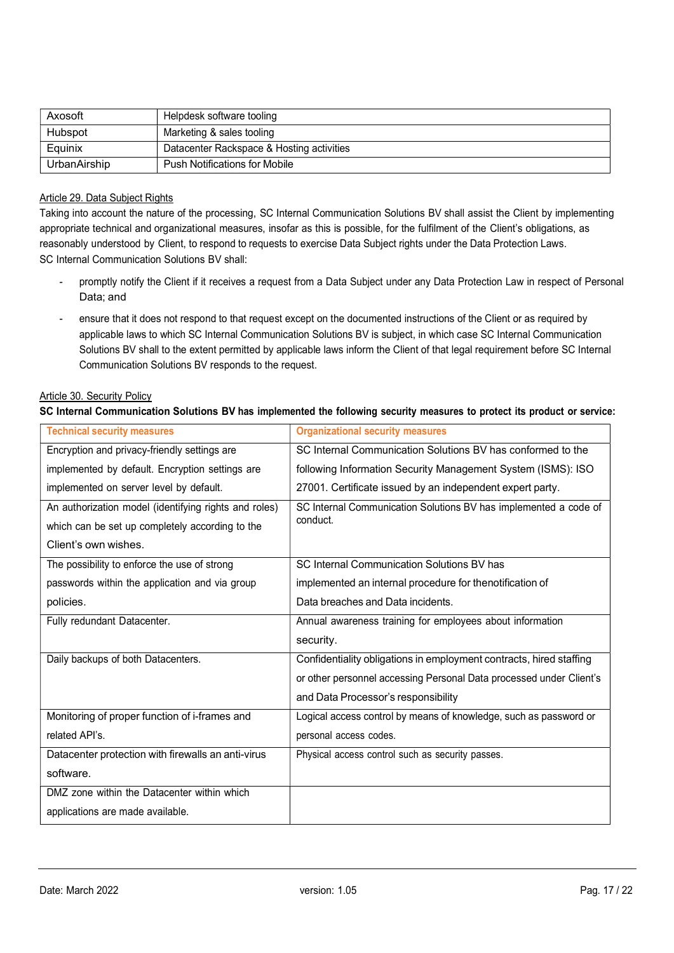| Axosoft      | Helpdesk software tooling                 |
|--------------|-------------------------------------------|
| Hubspot      | Marketing & sales tooling                 |
| Equinix      | Datacenter Rackspace & Hosting activities |
| UrbanAirship | <b>Push Notifications for Mobile</b>      |

## Article 29. Data Subject Rights

Taking into account the nature of the processing, SC Internal Communication Solutions BV shall assist the Client by implementing appropriate technical and organizational measures, insofar as this is possible, for the fulfilment of the Client's obligations, as reasonably understood by Client, to respond to requests to exercise Data Subject rights under the Data Protection Laws. SC Internal Communication Solutions BV shall:

- promptly notify the Client if it receives a request from a Data Subject under any Data Protection Law in respect of Personal Data; and
- ensure that it does not respond to that request except on the documented instructions of the Client or as required by applicable laws to which SC Internal Communication Solutions BV is subject, in which case SC Internal Communication Solutions BV shall to the extent permitted by applicable laws inform the Client of that legal requirement before SC Internal Communication Solutions BV responds to the request.

#### Article 30. Security Policy

## SC Internal Communication Solutions BV has implemented the following security measures to protect its product or service:

| <b>Technical security measures</b>                    | <b>Organizational security measures</b>                             |
|-------------------------------------------------------|---------------------------------------------------------------------|
| Encryption and privacy-friendly settings are          | SC Internal Communication Solutions BV has conformed to the         |
| implemented by default. Encryption settings are       | following Information Security Management System (ISMS): ISO        |
| implemented on server level by default.               | 27001. Certificate issued by an independent expert party.           |
| An authorization model (identifying rights and roles) | SC Internal Communication Solutions BV has implemented a code of    |
| which can be set up completely according to the       | conduct.                                                            |
| Client's own wishes.                                  |                                                                     |
| The possibility to enforce the use of strong          | SC Internal Communication Solutions BV has                          |
| passwords within the application and via group        | implemented an internal procedure for thenotification of            |
| policies.                                             | Data breaches and Data incidents.                                   |
| Fully redundant Datacenter.                           | Annual awareness training for employees about information           |
|                                                       | security.                                                           |
| Daily backups of both Datacenters.                    | Confidentiality obligations in employment contracts, hired staffing |
|                                                       | or other personnel accessing Personal Data processed under Client's |
|                                                       | and Data Processor's responsibility                                 |
| Monitoring of proper function of i-frames and         | Logical access control by means of knowledge, such as password or   |
| related API's.                                        | personal access codes.                                              |
| Datacenter protection with firewalls an anti-virus    | Physical access control such as security passes.                    |
| software.                                             |                                                                     |
| DMZ zone within the Datacenter within which           |                                                                     |
| applications are made available.                      |                                                                     |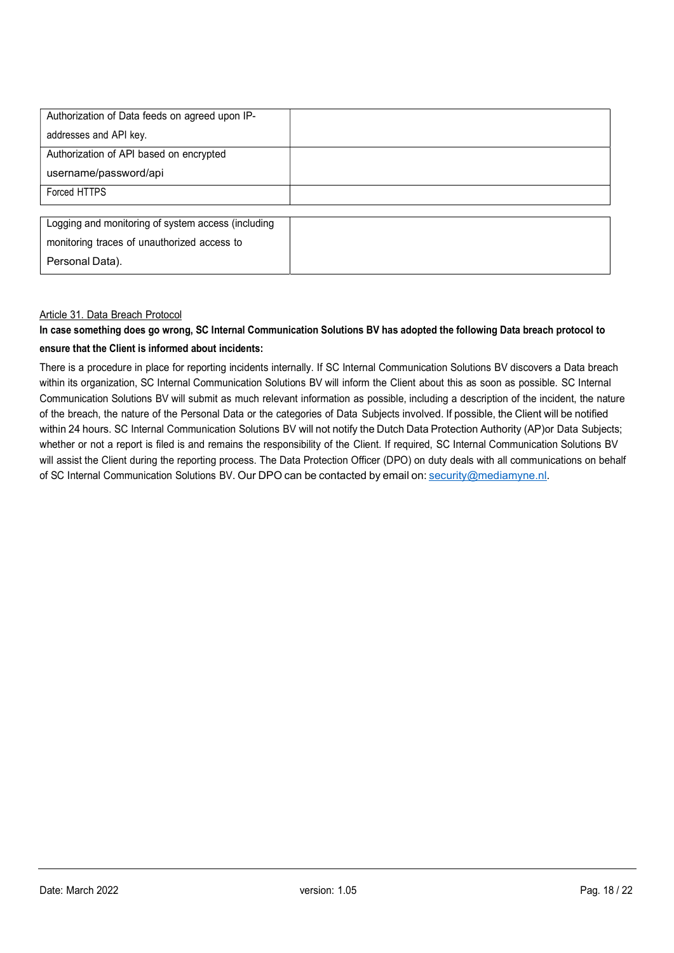| Authorization of Data feeds on agreed upon IP-     |  |
|----------------------------------------------------|--|
| addresses and API key.                             |  |
| Authorization of API based on encrypted            |  |
| username/password/api                              |  |
| Forced HTTPS                                       |  |
|                                                    |  |
| Logging and monitoring of system access (including |  |
| monitoring traces of unauthorized access to        |  |
| Personal Data).                                    |  |

#### Article 31. Data Breach Protocol

# In case something does go wrong, SC Internal Communication Solutions BV has adopted the following Data breach protocol to ensure that the Client is informed about incidents:

There is a procedure in place for reporting incidents internally. If SC Internal Communication Solutions BV discovers a Data breach within its organization, SC Internal Communication Solutions BV will inform the Client about this as soon as possible. SC Internal Communication Solutions BV will submit as much relevant information as possible, including a description of the incident, the nature of the breach, the nature of the Personal Data or the categories of Data Subjects involved. If possible, the Client will be notified within 24 hours. SC Internal Communication Solutions BV will not notify the Dutch Data Protection Authority (AP) or Data Subjects; whether or not a report is filed is and remains the responsibility of the Client. If required, SC Internal Communication Solutions BV will assist the Client during the reporting process. The Data Protection Officer (DPO) on duty deals with all communications on behalf of SC Internal Communication Solutions BV. Our DPO can be contacted by email on: security@mediamyne.nl.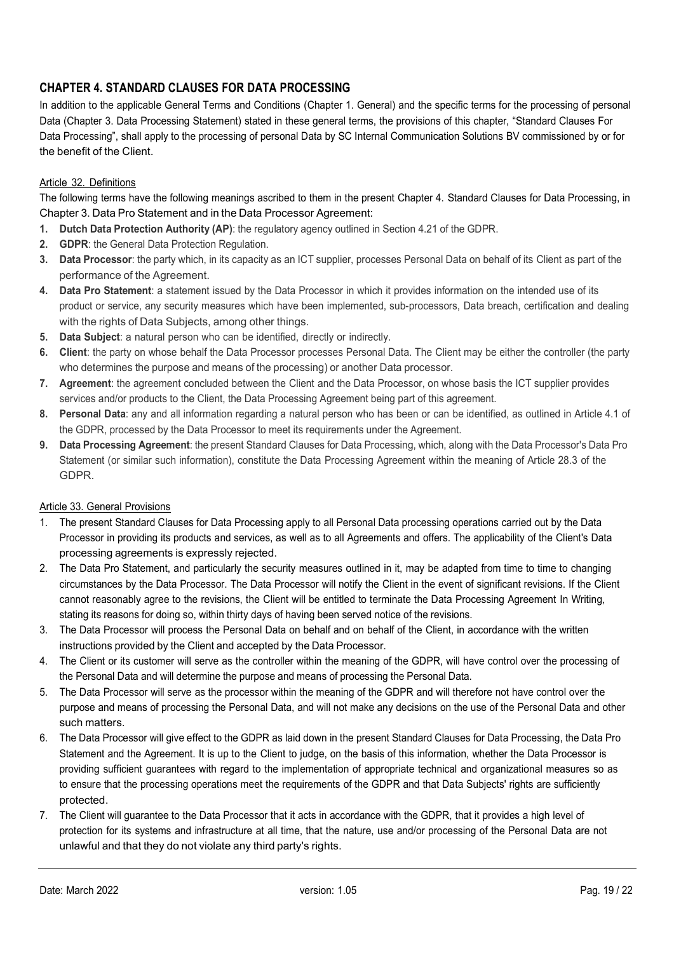# CHAPTER 4. STANDARD CLAUSES FOR DATA PROCESSING

In addition to the applicable General Terms and Conditions (Chapter 1. General) and the specific terms for the processing of personal Data (Chapter 3. Data Processing Statement) stated in these general terms, the provisions of this chapter, "Standard Clauses For Data Processing", shall apply to the processing of personal Data by SC Internal Communication Solutions BV commissioned by or for the benefit of the Client.

# Article 32. Definitions

The following terms have the following meanings ascribed to them in the present Chapter 4. Standard Clauses for Data Processing, in Chapter 3. Data Pro Statement and in the Data Processor Agreement:

- 1. Dutch Data Protection Authority (AP): the regulatory agency outlined in Section 4.21 of the GDPR.
- 2. **GDPR:** the General Data Protection Regulation.
- 3. Data Processor: the party which, in its capacity as an ICT supplier, processes Personal Data on behalf of its Client as part of the performance of the Agreement.
- 4. Data Pro Statement: a statement issued by the Data Processor in which it provides information on the intended use of its product or service, any security measures which have been implemented, sub-processors, Data breach, certification and dealing with the rights of Data Subjects, among other things.
- 5. Data Subject: a natural person who can be identified, directly or indirectly.
- 6. Client: the party on whose behalf the Data Processor processes Personal Data. The Client may be either the controller (the party who determines the purpose and means of the processing) or another Data processor.
- 7. Agreement: the agreement concluded between the Client and the Data Processor, on whose basis the ICT supplier provides services and/or products to the Client, the Data Processing Agreement being part of this agreement.
- 8. Personal Data: any and all information regarding a natural person who has been or can be identified, as outlined in Article 4.1 of the GDPR, processed by the Data Processor to meet its requirements under the Agreement.
- 9. Data Processing Agreement: the present Standard Clauses for Data Processing, which, along with the Data Processor's Data Pro Statement (or similar such information), constitute the Data Processing Agreement within the meaning of Article 28.3 of the GDPR.

# Article 33. General Provisions

- 1. The present Standard Clauses for Data Processing apply to all Personal Data processing operations carried out by the Data Processor in providing its products and services, as well as to all Agreements and offers. The applicability of the Client's Data processing agreements is expressly rejected.
- 2. The Data Pro Statement, and particularly the security measures outlined in it, may be adapted from time to time to changing circumstances by the Data Processor. The Data Processor will notify the Client in the event of significant revisions. If the Client cannot reasonably agree to the revisions, the Client will be entitled to terminate the Data Processing Agreement In Writing, stating its reasons for doing so, within thirty days of having been served notice of the revisions.
- 3. The Data Processor will process the Personal Data on behalf and on behalf of the Client, in accordance with the written instructions provided by the Client and accepted by the Data Processor.
- 4. The Client or its customer will serve as the controller within the meaning of the GDPR, will have control over the processing of the Personal Data and will determine the purpose and means of processing the Personal Data.
- 5. The Data Processor will serve as the processor within the meaning of the GDPR and will therefore not have control over the purpose and means of processing the Personal Data, and will not make any decisions on the use of the Personal Data and other such matters.
- 6. The Data Processor will give effect to the GDPR as laid down in the present Standard Clauses for Data Processing, the Data Pro Statement and the Agreement. It is up to the Client to judge, on the basis of this information, whether the Data Processor is providing sufficient guarantees with regard to the implementation of appropriate technical and organizational measures so as to ensure that the processing operations meet the requirements of the GDPR and that Data Subjects' rights are sufficiently protected.
- 7. The Client will guarantee to the Data Processor that it acts in accordance with the GDPR, that it provides a high level of protection for its systems and infrastructure at all time, that the nature, use and/or processing of the Personal Data are not unlawful and that they do not violate any third party's rights.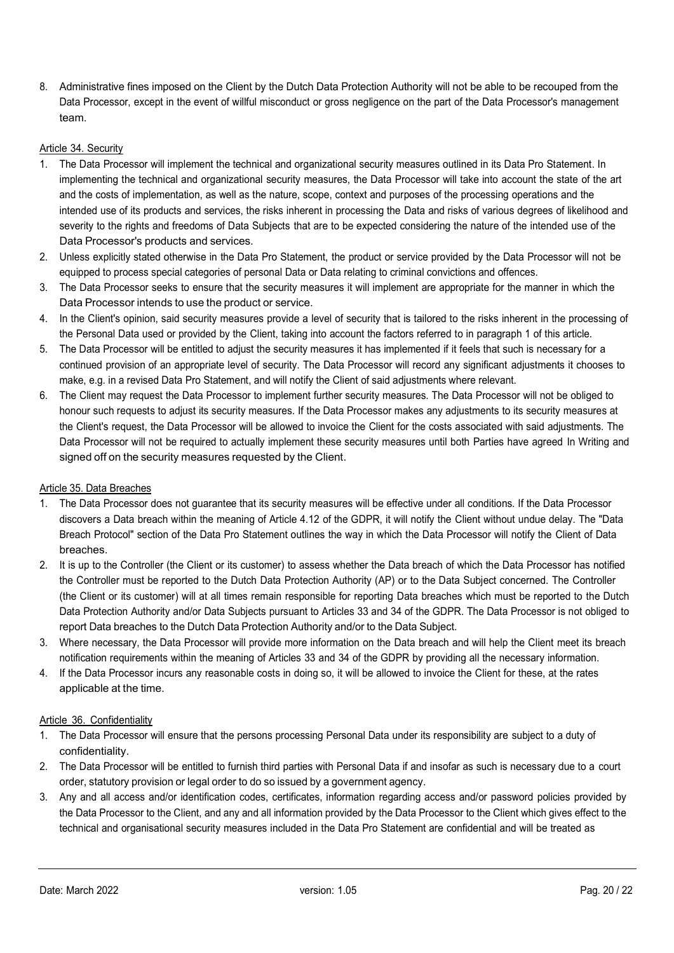8. Administrative fines imposed on the Client by the Dutch Data Protection Authority will not be able to be recouped from the Data Processor, except in the event of willful misconduct or gross negligence on the part of the Data Processor's management team.

#### Article 34. Security

- 1. The Data Processor will implement the technical and organizational security measures outlined in its Data Pro Statement. In implementing the technical and organizational security measures, the Data Processor will take into account the state of the art and the costs of implementation, as well as the nature, scope, context and purposes of the processing operations and the intended use of its products and services, the risks inherent in processing the Data and risks of various degrees of likelihood and severity to the rights and freedoms of Data Subjects that are to be expected considering the nature of the intended use of the Data Processor's products and services.
- 2. Unless explicitly stated otherwise in the Data Pro Statement, the product or service provided by the Data Processor will not be equipped to process special categories of personal Data or Data relating to criminal convictions and offences.
- 3. The Data Processor seeks to ensure that the security measures it will implement are appropriate for the manner in which the Data Processor intends to use the product or service.
- 4. In the Client's opinion, said security measures provide a level of security that is tailored to the risks inherent in the processing of the Personal Data used or provided by the Client, taking into account the factors referred to in paragraph 1 of this article.
- 5. The Data Processor will be entitled to adjust the security measures it has implemented if it feels that such is necessary for a continued provision of an appropriate level of security. The Data Processor will record any significant adjustments it chooses to make, e.g. in a revised Data Pro Statement, and will notify the Client of said adjustments where relevant.
- 6. The Client may request the Data Processor to implement further security measures. The Data Processor will not be obliged to honour such requests to adjust its security measures. If the Data Processor makes any adjustments to its security measures at the Client's request, the Data Processor will be allowed to invoice the Client for the costs associated with said adjustments. The Data Processor will not be required to actually implement these security measures until both Parties have agreed In Writing and signed off on the security measures requested by the Client.

#### Article 35. Data Breaches

- 1. The Data Processor does not guarantee that its security measures will be effective under all conditions. If the Data Processor discovers a Data breach within the meaning of Article 4.12 of the GDPR, it will notify the Client without undue delay. The "Data Breach Protocol" section of the Data Pro Statement outlines the way in which the Data Processor will notify the Client of Data breaches.
- 2. It is up to the Controller (the Client or its customer) to assess whether the Data breach of which the Data Processor has notified the Controller must be reported to the Dutch Data Protection Authority (AP) or to the Data Subject concerned. The Controller (the Client or its customer) will at all times remain responsible for reporting Data breaches which must be reported to the Dutch Data Protection Authority and/or Data Subjects pursuant to Articles 33 and 34 of the GDPR. The Data Processor is not obliged to report Data breaches to the Dutch Data Protection Authority and/or to the Data Subject.
- 3. Where necessary, the Data Processor will provide more information on the Data breach and will help the Client meet its breach notification requirements within the meaning of Articles 33 and 34 of the GDPR by providing all the necessary information.
- 4. If the Data Processor incurs any reasonable costs in doing so, it will be allowed to invoice the Client for these, at the rates applicable at the time.

## Article 36. Confidentiality

- 1. The Data Processor will ensure that the persons processing Personal Data under its responsibility are subject to a duty of confidentiality.
- 2. The Data Processor will be entitled to furnish third parties with Personal Data if and insofar as such is necessary due to a court order, statutory provision or legal order to do so issued by a government agency.
- 3. Any and all access and/or identification codes, certificates, information regarding access and/or password policies provided by the Data Processor to the Client, and any and all information provided by the Data Processor to the Client which gives effect to the technical and organisational security measures included in the Data Pro Statement are confidential and will be treated as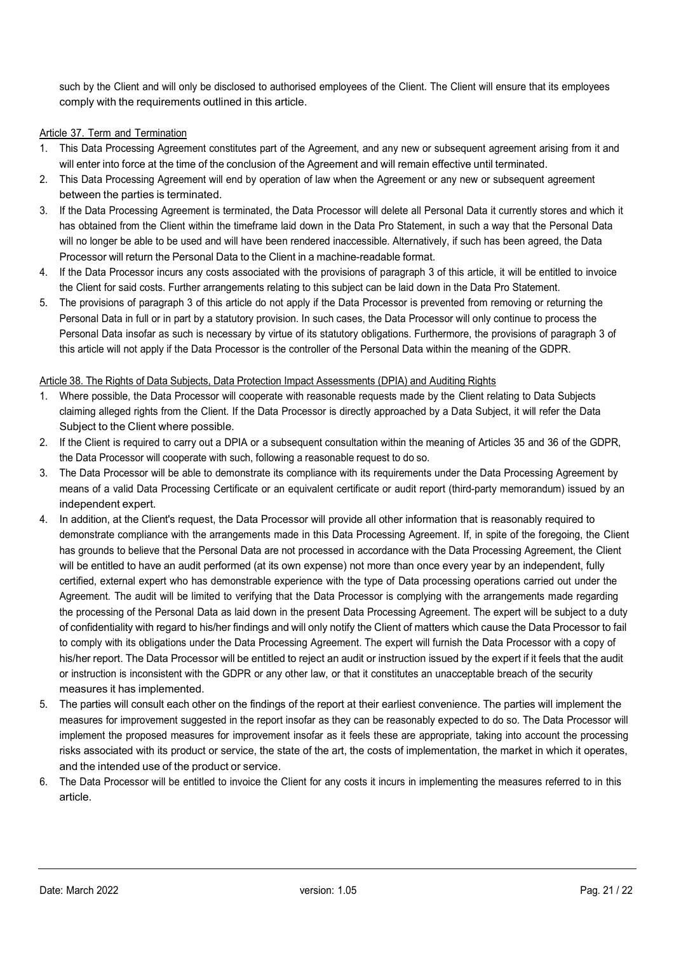such by the Client and will only be disclosed to authorised employees of the Client. The Client will ensure that its employees comply with the requirements outlined in this article.

## Article 37. Term and Termination

- 1. This Data Processing Agreement constitutes part of the Agreement, and any new or subsequent agreement arising from it and will enter into force at the time of the conclusion of the Agreement and will remain effective until terminated.
- 2. This Data Processing Agreement will end by operation of law when the Agreement or any new or subsequent agreement between the parties is terminated.
- 3. If the Data Processing Agreement is terminated, the Data Processor will delete all Personal Data it currently stores and which it has obtained from the Client within the timeframe laid down in the Data Pro Statement, in such a way that the Personal Data will no longer be able to be used and will have been rendered inaccessible. Alternatively, if such has been agreed, the Data Processor will return the Personal Data to the Client in a machine-readable format.
- 4. If the Data Processor incurs any costs associated with the provisions of paragraph 3 of this article, it will be entitled to invoice the Client for said costs. Further arrangements relating to this subject can be laid down in the Data Pro Statement.
- 5. The provisions of paragraph 3 of this article do not apply if the Data Processor is prevented from removing or returning the Personal Data in full or in part by a statutory provision. In such cases, the Data Processor will only continue to process the Personal Data insofar as such is necessary by virtue of its statutory obligations. Furthermore, the provisions of paragraph 3 of this article will not apply if the Data Processor is the controller of the Personal Data within the meaning of the GDPR.

## Article 38. The Rights of Data Subjects, Data Protection Impact Assessments (DPIA) and Auditing Rights

- 1. Where possible, the Data Processor will cooperate with reasonable requests made by the Client relating to Data Subjects claiming alleged rights from the Client. If the Data Processor is directly approached by a Data Subject, it will refer the Data Subject to the Client where possible.
- 2. If the Client is required to carry out a DPIA or a subsequent consultation within the meaning of Articles 35 and 36 of the GDPR, the Data Processor will cooperate with such, following a reasonable request to do so.
- 3. The Data Processor will be able to demonstrate its compliance with its requirements under the Data Processing Agreement by means of a valid Data Processing Certificate or an equivalent certificate or audit report (third-party memorandum) issued by an independent expert.
- 4. In addition, at the Client's request, the Data Processor will provide all other information that is reasonably required to demonstrate compliance with the arrangements made in this Data Processing Agreement. If, in spite of the foregoing, the Client has grounds to believe that the Personal Data are not processed in accordance with the Data Processing Agreement, the Client will be entitled to have an audit performed (at its own expense) not more than once every year by an independent, fully certified, external expert who has demonstrable experience with the type of Data processing operations carried out under the Agreement. The audit will be limited to verifying that the Data Processor is complying with the arrangements made regarding the processing of the Personal Data as laid down in the present Data Processing Agreement. The expert will be subject to a duty of confidentiality with regard to his/her findings and will only notify the Client of matters which cause the Data Processor to fail to comply with its obligations under the Data Processing Agreement. The expert will furnish the Data Processor with a copy of his/her report. The Data Processor will be entitled to reject an audit or instruction issued by the expert if it feels that the audit or instruction is inconsistent with the GDPR or any other law, or that it constitutes an unacceptable breach of the security measures it has implemented.
- 5. The parties will consult each other on the findings of the report at their earliest convenience. The parties will implement the measures for improvement suggested in the report insofar as they can be reasonably expected to do so. The Data Processor will implement the proposed measures for improvement insofar as it feels these are appropriate, taking into account the processing risks associated with its product or service, the state of the art, the costs of implementation, the market in which it operates, and the intended use of the product or service.
- 6. The Data Processor will be entitled to invoice the Client for any costs it incurs in implementing the measures referred to in this article.